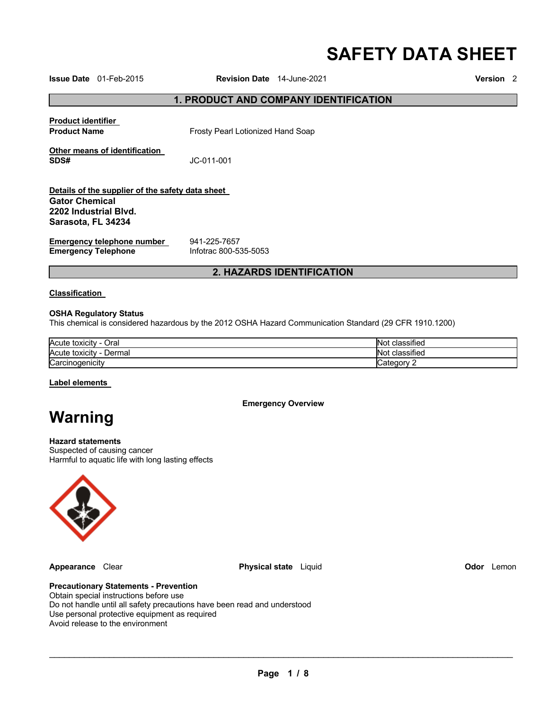# **SAFETY DATA SHEET**

**Issue Date** 01-Feb-2015 **Revision Date** 14-June-2021 **Version** 2

### **1. PRODUCT AND COMPANY IDENTIFICATION**

**Product identifier** 

**Product Name Frosty Pearl Lotionized Hand Soap** 

**Other means of identification SDS#** JC-011-001

#### **Details of the supplier of the safety data sheet Gator Chemical 2202 Industrial Blvd. Sarasota, FL 34234**

**Emergency telephone number <br>
<b>Emergency Telephone** 
<br>
Infotrac 800-535-5053 **Emergency Telephone** 

# **2. HAZARDS IDENTIFICATION**

#### **Classification**

#### **OSHA Regulatory Status**

This chemical is considered hazardous by the 2012 OSHA Hazard Communication Standard (29 CFR 1910.1200)

| Acute toxicity<br>Oral<br>$\overline{\phantom{a}}$ | $\cdots$<br>classified<br><b>NO</b>          |
|----------------------------------------------------|----------------------------------------------|
| <b>Acute toxicity</b><br>Dermal                    | $\overline{\phantom{a}}$<br>classified<br>NΟ |
| Carcinogenicity                                    |                                              |

#### **Label elements**

**Emergency Overview** 

# **Warning**

# **Hazard statements**

Suspected of causing cancer Harmful to aquatic life with long lasting effects



**Appearance** Clear **Physical state** Liquid **Odor** Lemon

#### **Precautionary Statements - Prevention**

Obtain special instructions before use Do not handle until all safety precautions have been read and understood Use personal protective equipment as required Avoid release to the environment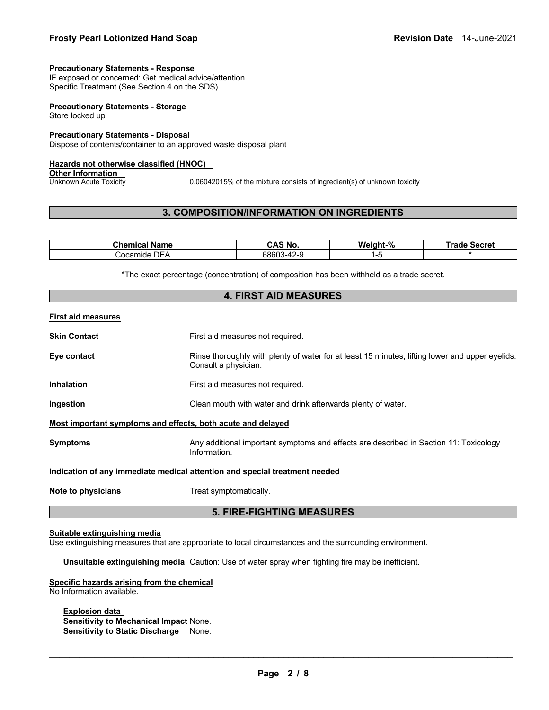#### **Precautionary Statements - Response**

IF exposed or concerned: Get medical advice/attention Specific Treatment (See Section 4 on the SDS)

**Precautionary Statements - Storage** Store locked up

#### **Precautionary Statements - Disposal**

Dispose of contents/container to an approved waste disposal plant

#### **Hazards not otherwise classified (HNOC)**

**Other Information**<br>Unknown Acute Toxicity

0.06042015% of the mixture consists of ingredient(s) of unknown toxicity

# **3. COMPOSITION/INFORMATION ON INGREDIENTS**

\_\_\_\_\_\_\_\_\_\_\_\_\_\_\_\_\_\_\_\_\_\_\_\_\_\_\_\_\_\_\_\_\_\_\_\_\_\_\_\_\_\_\_\_\_\_\_\_\_\_\_\_\_\_\_\_\_\_\_\_\_\_\_\_\_\_\_\_\_\_\_\_\_\_\_\_\_\_\_\_\_\_\_\_\_\_\_\_\_\_\_\_\_

| Chemical<br>Name    | CAS No.                    | Weight-% | Secret<br>rade. |
|---------------------|----------------------------|----------|-----------------|
| DEA<br>ڪocam<br>nde | 68603<br><u>ഗറ</u><br>∽4∠− |          |                 |

\*The exact percentage (concentration) of composition has been withheld as a trade secret. **4. FIRST AID MEASURES** 

| 4. FIRJI AIV MEAJUREJ                                                             |                                                                                                                         |  |  |  |
|-----------------------------------------------------------------------------------|-------------------------------------------------------------------------------------------------------------------------|--|--|--|
| First aid measures                                                                |                                                                                                                         |  |  |  |
| Skin Contact                                                                      | First aid measures not required.                                                                                        |  |  |  |
| Eye contact                                                                       | Rinse thoroughly with plenty of water for at least 15 minutes, lifting lower and upper eyelids.<br>Consult a physician. |  |  |  |
| Inhalation                                                                        | First aid measures not required.                                                                                        |  |  |  |
| Ingestion                                                                         | Clean mouth with water and drink afterwards plenty of water.                                                            |  |  |  |
| Most important symptoms and effects, both acute and delayed                       |                                                                                                                         |  |  |  |
| Symptoms                                                                          | Any additional important symptoms and effects are described in Section 11: Toxicology<br>Information.                   |  |  |  |
| <u>Indication of any immediate medical attention and special treatment needed</u> |                                                                                                                         |  |  |  |
| Note to physicians                                                                | Treat symptomatically.                                                                                                  |  |  |  |
| <b>5. FIRE-FIGHTING MEASURES</b>                                                  |                                                                                                                         |  |  |  |

#### **Suitable extinguishing media**

Use extinguishing measures that are appropriate to local circumstances and the surrounding environment.

**Unsuitable extinguishing media** Caution: Use of water spray when fighting fire may be inefficient.

#### **Specific hazards arising from the chemical** No Information available.

**Explosion data** 

**Sensitivity to Mechanical Impact** None. **Sensitivity to Static Discharge** None.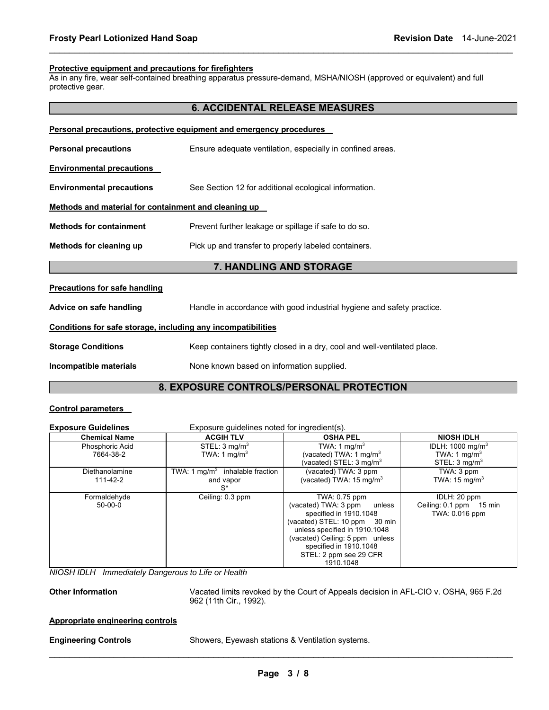#### **Protective equipment and precautions for firefighters**

As in any fire, wear self-contained breathing apparatus pressure-demand, MSHA/NIOSH (approved or equivalent) and full protective gear.

\_\_\_\_\_\_\_\_\_\_\_\_\_\_\_\_\_\_\_\_\_\_\_\_\_\_\_\_\_\_\_\_\_\_\_\_\_\_\_\_\_\_\_\_\_\_\_\_\_\_\_\_\_\_\_\_\_\_\_\_\_\_\_\_\_\_\_\_\_\_\_\_\_\_\_\_\_\_\_\_\_\_\_\_\_\_\_\_\_\_\_\_\_

|                                                              | <b>6. ACCIDENTAL RELEASE MEASURES</b>                                    |  |  |
|--------------------------------------------------------------|--------------------------------------------------------------------------|--|--|
|                                                              | Personal precautions, protective equipment and emergency procedures      |  |  |
| <b>Personal precautions</b>                                  | Ensure adequate ventilation, especially in confined areas.               |  |  |
| <u>Environmental precautions</u>                             |                                                                          |  |  |
| <b>Environmental precautions</b>                             | See Section 12 for additional ecological information.                    |  |  |
| Methods and material for containment and cleaning up         |                                                                          |  |  |
| <b>Methods for containment</b>                               | Prevent further leakage or spillage if safe to do so.                    |  |  |
| Methods for cleaning up                                      | Pick up and transfer to properly labeled containers.                     |  |  |
|                                                              | 7. HANDLING AND STORAGE                                                  |  |  |
| <b>Precautions for safe handling</b>                         |                                                                          |  |  |
| Advice on safe handling                                      | Handle in accordance with good industrial hygiene and safety practice.   |  |  |
| Conditions for safe storage, including any incompatibilities |                                                                          |  |  |
| <b>Storage Conditions</b>                                    | Keep containers tightly closed in a dry, cool and well-ventilated place. |  |  |
| Incompatible materials                                       | None known based on information supplied.                                |  |  |
|                                                              |                                                                          |  |  |

# **8. EXPOSURE CONTROLS/PERSONAL PROTECTION**

### **Control parameters**

| <b>Exposure Guidelines</b>   | Exposure quidelines noted for ingredient(s).          |                                                                                                                                                                                                                                                 |                                                                                     |  |
|------------------------------|-------------------------------------------------------|-------------------------------------------------------------------------------------------------------------------------------------------------------------------------------------------------------------------------------------------------|-------------------------------------------------------------------------------------|--|
| <b>Chemical Name</b>         | <b>ACGIH TLV</b>                                      | <b>OSHA PEL</b>                                                                                                                                                                                                                                 | <b>NIOSH IDLH</b>                                                                   |  |
| Phosphoric Acid<br>7664-38-2 | STEL: 3 mg/m <sup>3</sup><br>TWA: 1 mg/m <sup>3</sup> | TWA: 1 $mq/m3$<br>(vacated) TWA: 1 mg/m <sup>3</sup><br>(vacated) STEL: 3 mg/m $^3$                                                                                                                                                             | IDLH: $1000 \text{ mg/m}^3$<br>TWA: 1 mg/m <sup>3</sup><br>STEL: $3 \text{ mq/m}^3$ |  |
| Diethanolamine<br>111-42-2   | TWA: 1 $mq/m3$ inhalable fraction<br>and vapor<br>S*  | (vacated) TWA: 3 ppm<br>(vacated) TWA: 15 mg/m $3$                                                                                                                                                                                              | TWA: 3 ppm<br>TWA: $15 \text{ mg/m}^3$                                              |  |
| Formaldehyde<br>50-00-0      | Ceiling: 0.3 ppm                                      | TWA: 0.75 ppm<br>(vacated) TWA: 3 ppm<br>unless<br>specified in 1910.1048<br>(vacated) STEL: 10 ppm 30 min<br>unless specified in 1910.1048<br>(vacated) Ceiling: 5 ppm unless<br>specified in 1910.1048<br>STEL: 2 ppm see 29 CFR<br>1910.1048 | IDLH: 20 ppm<br>Ceiling: 0.1 ppm 15 min<br>TWA: 0.016 ppm                           |  |

*NIOSH IDLH Immediately Dangerous to Life or Health* 

**Other Information** Vacated limits revoked by the Court of Appeals decision in AFL-CIO v. OSHA, 965 F.2d 962 (11th Cir., 1992).

#### **Appropriate engineering controls**

\_\_\_\_\_\_\_\_\_\_\_\_\_\_\_\_\_\_\_\_\_\_\_\_\_\_\_\_\_\_\_\_\_\_\_\_\_\_\_\_\_\_\_\_\_\_\_\_\_\_\_\_\_\_\_\_\_\_\_\_\_\_\_\_\_\_\_\_\_\_\_\_\_\_\_\_\_\_\_\_\_\_\_\_\_\_\_\_\_\_\_\_\_ **Engineering Controls** Showers, Eyewash stations & Ventilation systems.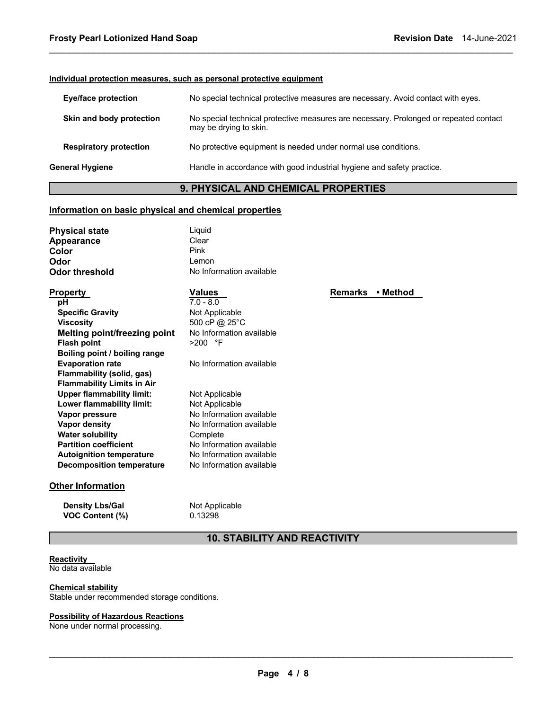#### **Individual protection measures, such as personal protective equipment**

| <b>Eye/face protection</b>    | No special technical protective measures are necessary. Avoid contact with eyes.                                |
|-------------------------------|-----------------------------------------------------------------------------------------------------------------|
| Skin and body protection      | No special technical protective measures are necessary. Prolonged or repeated contact<br>may be drying to skin. |
| <b>Respiratory protection</b> | No protective equipment is needed under normal use conditions.                                                  |
| General Hygiene               | Handle in accordance with good industrial hygiene and safety practice.                                          |
|                               |                                                                                                                 |

\_\_\_\_\_\_\_\_\_\_\_\_\_\_\_\_\_\_\_\_\_\_\_\_\_\_\_\_\_\_\_\_\_\_\_\_\_\_\_\_\_\_\_\_\_\_\_\_\_\_\_\_\_\_\_\_\_\_\_\_\_\_\_\_\_\_\_\_\_\_\_\_\_\_\_\_\_\_\_\_\_\_\_\_\_\_\_\_\_\_\_\_\_

# **9. PHYSICAL AND CHEMICAL PROPERTIES**

#### **Information on basic physical and chemical properties**

| Liguid                   |
|--------------------------|
| Clear                    |
| Pink                     |
| Lemon                    |
| No Information available |
|                          |

| <u>Property</u>                   | <b>Values</b>            |
|-----------------------------------|--------------------------|
| pН                                | $7.0 - 8.0$              |
| <b>Specific Gravity</b>           | Not Applicable           |
| <b>Viscosity</b>                  | 500 cP @ 25°C            |
| Melting point/freezing point      | No Information available |
| <b>Flash point</b>                | >200 °F                  |
| Boiling point / boiling range     |                          |
| <b>Evaporation rate</b>           | No Information available |
| Flammability (solid, gas)         |                          |
| <b>Flammability Limits in Air</b> |                          |
| <b>Upper flammability limit:</b>  | Not Applicable           |
| Lower flammability limit:         | Not Applicable           |
| Vapor pressure                    | No Information available |
| Vapor density                     | No Information available |
| <b>Water solubility</b>           | Complete                 |
| <b>Partition coefficient</b>      | No Information available |
| <b>Autoignition temperature</b>   | No Information available |
| Decomposition temperature         | No Information available |

#### **Other Information**

**Density Lbs/Gal** Not Applicable **VOC Content (%)** 0.13298

# **10. STABILITY AND REACTIVITY**

# **Reactivity**

No data available

**Chemical stability** Stable under recommended storage conditions.

# **Possibility of Hazardous Reactions**

None under normal processing.

**Remarks • Method**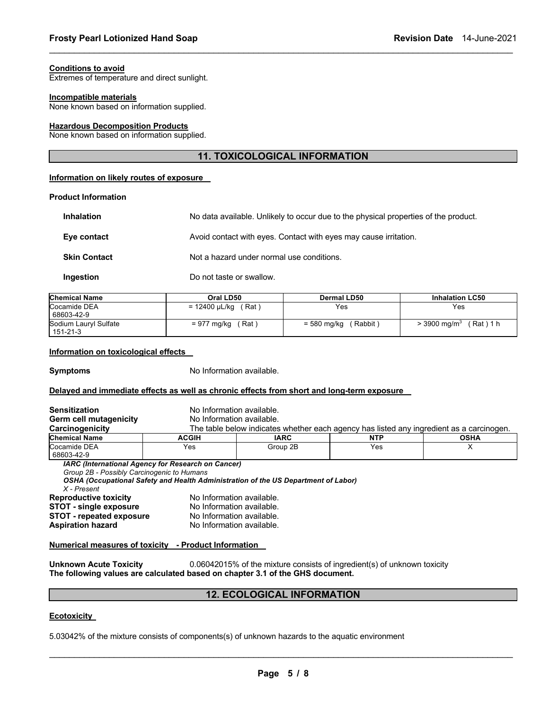#### **Conditions to avoid**

Extremes of temperature and direct sunlight.

#### **Incompatible materials**

None known based on information supplied.

#### **Hazardous Decomposition Products**

None known based on information supplied.

# **11. TOXICOLOGICAL INFORMATION**

\_\_\_\_\_\_\_\_\_\_\_\_\_\_\_\_\_\_\_\_\_\_\_\_\_\_\_\_\_\_\_\_\_\_\_\_\_\_\_\_\_\_\_\_\_\_\_\_\_\_\_\_\_\_\_\_\_\_\_\_\_\_\_\_\_\_\_\_\_\_\_\_\_\_\_\_\_\_\_\_\_\_\_\_\_\_\_\_\_\_\_\_\_

#### **Information on likely routes of exposure**

#### **Product Information**

| <b>Inhalation</b>   | No data available. Unlikely to occur due to the physical properties of the product. |
|---------------------|-------------------------------------------------------------------------------------|
| Eye contact         | Avoid contact with eyes. Contact with eyes may cause irritation.                    |
| <b>Skin Contact</b> | Not a hazard under normal use conditions.                                           |
| Ingestion           | Do not taste or swallow.                                                            |

| <b>Chemical Name</b>              | Oral LD50              | Dermal LD50           | <b>Inhalation LC50</b>                 |
|-----------------------------------|------------------------|-----------------------|----------------------------------------|
| Cocamide DEA<br>68603-42-9        | (Rat)<br>= 12400 µL/kg | Yes                   | Yes                                    |
| Sodium Lauryl Sulfate<br>151-21-3 | ˈRat ˈ<br>= 977 mg/kg  | Rabbit<br>= 580 mg/kg | (Rat)1 h<br>$>$ 3900 mg/m <sup>3</sup> |

#### **Information on toxicological effects**

**Symptoms** No Information available.

#### **Delayed and immediate effects as well as chronic effects from short and long-term exposure**

| <b>Sensitization</b>                                      | No Information available.                                 |                                                                                          |            |             |
|-----------------------------------------------------------|-----------------------------------------------------------|------------------------------------------------------------------------------------------|------------|-------------|
| Germ cell mutagenicity                                    | No Information available.                                 |                                                                                          |            |             |
| Carcinogenicity                                           |                                                           | The table below indicates whether each agency has listed any ingredient as a carcinogen. |            |             |
| <b>Chemical Name</b>                                      | <b>ACGIH</b>                                              | <b>IARC</b>                                                                              | <b>NTP</b> | <b>OSHA</b> |
| Cocamide DEA                                              | Yes                                                       | Group 2B                                                                                 | Yes        | x           |
| 68603-42-9                                                | <b>IARC (International Agency for Research on Cancer)</b> |                                                                                          |            |             |
| Group 2B - Possibly Carcinogenic to Humans<br>X - Present |                                                           | OSHA (Occupational Safety and Health Administration of the US Department of Labor)       |            |             |
| <b>Reproductive toxicity</b>                              | No Information available.                                 |                                                                                          |            |             |
| <b>STOT - single exposure</b>                             | No Information available.                                 |                                                                                          |            |             |
| <b>STOT - repeated exposure</b>                           | No Information available.                                 |                                                                                          |            |             |
| <b>Aspiration hazard</b>                                  | No Information available.                                 |                                                                                          |            |             |
| Numerical measures of toxicity - Product Information      |                                                           |                                                                                          |            |             |

**Unknown Acute Toxicity** 0.06042015% of the mixture consists of ingredient(s) of unknown toxicity **The following values are calculated based on chapter 3.1 of the GHS document.**

#### **12. ECOLOGICAL INFORMATION**

#### **Ecotoxicity**

5.03042% of the mixture consists of components(s) of unknown hazards to the aquatic environment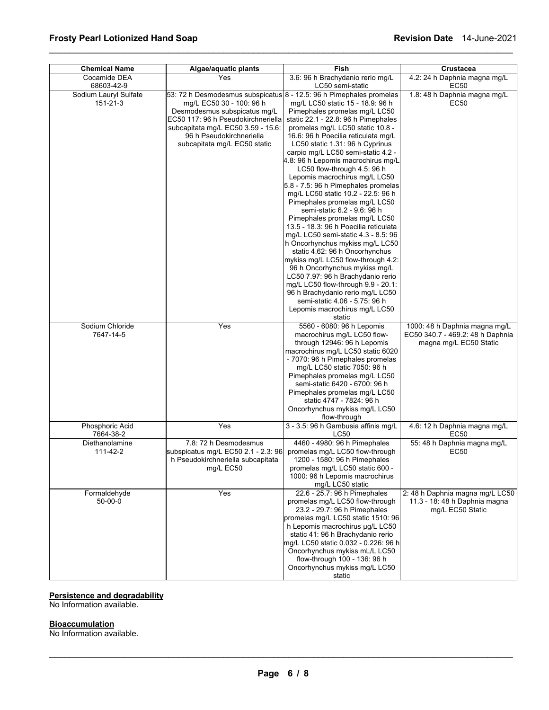| <b>Chemical Name</b>              | Fish<br>Algae/aquatic plants                                                                                                                                                                                                                                            |                                                                                                                                                                                                                                                                                                                                                                                                                                                                                                                                                                                                                                                                                                                                                                                                                                                                                                                                                                         | Crustacea                                                                                   |
|-----------------------------------|-------------------------------------------------------------------------------------------------------------------------------------------------------------------------------------------------------------------------------------------------------------------------|-------------------------------------------------------------------------------------------------------------------------------------------------------------------------------------------------------------------------------------------------------------------------------------------------------------------------------------------------------------------------------------------------------------------------------------------------------------------------------------------------------------------------------------------------------------------------------------------------------------------------------------------------------------------------------------------------------------------------------------------------------------------------------------------------------------------------------------------------------------------------------------------------------------------------------------------------------------------------|---------------------------------------------------------------------------------------------|
| Cocamide DEA<br>68603-42-9        | Yes                                                                                                                                                                                                                                                                     | 3.6: 96 h Brachydanio rerio mg/L<br>LC50 semi-static                                                                                                                                                                                                                                                                                                                                                                                                                                                                                                                                                                                                                                                                                                                                                                                                                                                                                                                    | 4.2: 24 h Daphnia magna mg/L<br><b>EC50</b>                                                 |
| Sodium Lauryl Sulfate<br>151-21-3 | 53: 72 h Desmodesmus subspicatus 8 - 12.5: 96 h Pimephales promelas<br>mg/L EC50 30 - 100: 96 h<br>Desmodesmus subspicatus mg/L<br>EC50 117: 96 h Pseudokirchneriella<br>subcapitata mg/L EC50 3.59 - 15.6:<br>96 h Pseudokirchneriella<br>subcapitata mg/L EC50 static | mg/L LC50 static 15 - 18.9: 96 h<br>Pimephales promelas mg/L LC50<br>static 22.1 - 22.8: 96 h Pimephales<br>promelas mg/L LC50 static 10.8 -<br>16.6: 96 h Poecilia reticulata mg/L<br>LC50 static 1.31: 96 h Cyprinus<br>carpio mg/L LC50 semi-static 4.2 -<br>4.8: 96 h Lepomis macrochirus mg/L<br>LC50 flow-through 4.5: 96 h<br>Lepomis macrochirus mg/L LC50<br>5.8 - 7.5: 96 h Pimephales promelas<br>mg/L LC50 static 10.2 - 22.5: 96 h<br>Pimephales promelas mg/L LC50<br>semi-static 6.2 - 9.6: 96 h<br>Pimephales promelas mg/L LC50<br>13.5 - 18.3: 96 h Poecilia reticulata<br>mg/L LC50 semi-static 4.3 - 8.5: 96<br>h Oncorhynchus mykiss mg/L LC50<br>static 4.62: 96 h Oncorhynchus<br>mykiss mg/L LC50 flow-through 4.2:<br>96 h Oncorhynchus mykiss mg/L<br>LC50 7.97: 96 h Brachydanio rerio<br>mg/L LC50 flow-through 9.9 - 20.1:<br>96 h Brachydanio rerio mg/L LC50<br>semi-static 4.06 - 5.75: 96 h<br>Lepomis macrochirus mg/L LC50<br>static | 1.8: 48 h Daphnia magna mg/L<br>EC50                                                        |
| Sodium Chloride<br>7647-14-5      | Yes                                                                                                                                                                                                                                                                     | 5560 - 6080: 96 h Lepomis<br>macrochirus mg/L LC50 flow-<br>through 12946: 96 h Lepomis<br>macrochirus mg/L LC50 static 6020<br>- 7070: 96 h Pimephales promelas<br>mg/L LC50 static 7050: 96 h<br>Pimephales promelas mg/L LC50<br>semi-static 6420 - 6700: 96 h<br>Pimephales promelas mg/L LC50<br>static 4747 - 7824: 96 h<br>Oncorhynchus mykiss mg/L LC50<br>flow-through                                                                                                                                                                                                                                                                                                                                                                                                                                                                                                                                                                                         | 1000: 48 h Daphnia magna mg/L<br>EC50 340.7 - 469.2: 48 h Daphnia<br>magna mg/L EC50 Static |
| Phosphoric Acid<br>7664-38-2      | Yes                                                                                                                                                                                                                                                                     | 3 - 3.5: 96 h Gambusia affinis mg/L<br>LC50                                                                                                                                                                                                                                                                                                                                                                                                                                                                                                                                                                                                                                                                                                                                                                                                                                                                                                                             | 4.6: 12 h Daphnia magna mg/L<br>EC50                                                        |
| Diethanolamine<br>111-42-2        | 7.8: 72 h Desmodesmus<br>subspicatus mg/L EC50 2.1 - 2.3: 96<br>h Pseudokirchneriella subcapitata<br>mg/L EC50                                                                                                                                                          | 4460 - 4980: 96 h Pimephales<br>promelas mg/L LC50 flow-through<br>1200 - 1580: 96 h Pimephales<br>promelas mg/L LC50 static 600 -<br>1000: 96 h Lepomis macrochirus<br>mg/L LC50 static                                                                                                                                                                                                                                                                                                                                                                                                                                                                                                                                                                                                                                                                                                                                                                                | 55: 48 h Daphnia magna mg/L<br>EC50                                                         |
| Formaldehyde<br>$50 - 00 - 0$     | Yes                                                                                                                                                                                                                                                                     | 22.6 - 25.7: 96 h Pimephales<br>promelas mg/L LC50 flow-through<br>23.2 - 29.7: 96 h Pimephales<br>promelas mg/L LC50 static 1510: 96<br>h Lepomis macrochirus µg/L LC50<br>static 41: 96 h Brachydanio rerio<br>mg/L LC50 static 0.032 - 0.226: 96 h<br>Oncorhynchus mykiss mL/L LC50<br>flow-through 100 - 136: 96 h<br>Oncorhynchus mykiss mg/L LC50<br>static                                                                                                                                                                                                                                                                                                                                                                                                                                                                                                                                                                                                       | 2: 48 h Daphnia magna mg/L LC50<br>11.3 - 18: 48 h Daphnia magna<br>mg/L EC50 Static        |

\_\_\_\_\_\_\_\_\_\_\_\_\_\_\_\_\_\_\_\_\_\_\_\_\_\_\_\_\_\_\_\_\_\_\_\_\_\_\_\_\_\_\_\_\_\_\_\_\_\_\_\_\_\_\_\_\_\_\_\_\_\_\_\_\_\_\_\_\_\_\_\_\_\_\_\_\_\_\_\_\_\_\_\_\_\_\_\_\_\_\_\_\_

# **Persistence and degradability**

No Information available.

# **Bioaccumulation**

No Information available.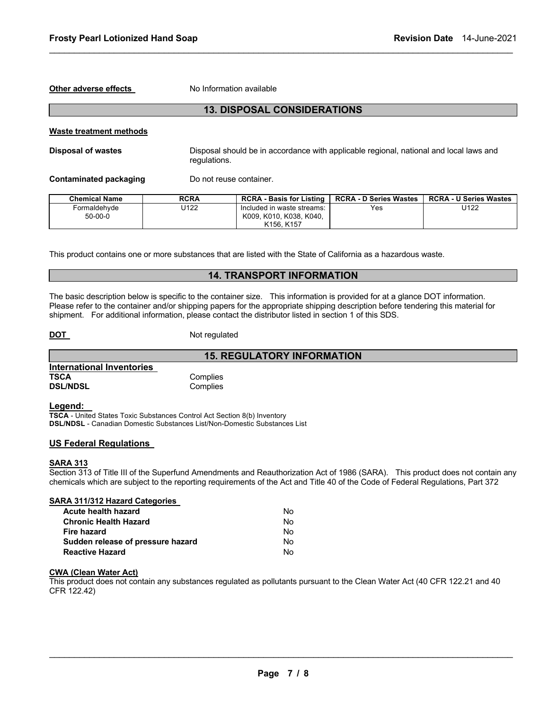**Other adverse effects** No Information available

# **13. DISPOSAL CONSIDERATIONS**

\_\_\_\_\_\_\_\_\_\_\_\_\_\_\_\_\_\_\_\_\_\_\_\_\_\_\_\_\_\_\_\_\_\_\_\_\_\_\_\_\_\_\_\_\_\_\_\_\_\_\_\_\_\_\_\_\_\_\_\_\_\_\_\_\_\_\_\_\_\_\_\_\_\_\_\_\_\_\_\_\_\_\_\_\_\_\_\_\_\_\_\_\_

#### **Waste treatment methods**

**Disposal of wastes** Disposal should be in accordance with applicable regional, national and local laws and regulations.

**Contaminated packaging Theory Do not reuse container.** 

| <b>Chemical Name</b> | <b>RCRA</b> | <b>RCRA - Basis for Listing</b>   | <b>RCRA - D Series Wastes</b> | <b>RCRA - U Series Wastes</b> |
|----------------------|-------------|-----------------------------------|-------------------------------|-------------------------------|
| Formaldehvde         | J122        | Included in waste streams:        | Yes                           | U122                          |
| $50-00-0$            |             | K009, K010, K038, K040,           |                               |                               |
|                      |             | K <sub>156</sub> K <sub>157</sub> |                               |                               |

This product contains one or more substances that are listed with the State of California as a hazardous waste.

# **14. TRANSPORT INFORMATION**

**15. REGULATORY INFORMATION** 

The basic description below is specific to the container size. This information is provided for at a glance DOT information. Please refer to the container and/or shipping papers for the appropriate shipping description before tendering this material for shipment. For additional information, please contact the distributor listed in section 1 of this SDS.

**DOT** Not regulated

|                           | 13. F    |
|---------------------------|----------|
| International Inventories |          |
| <b>TSCA</b>               | Complies |
| <b>DSL/NDSL</b>           | Complies |

**Legend:** 

**TSCA** - United States Toxic Substances Control Act Section 8(b) Inventory **DSL/NDSL** - Canadian Domestic Substances List/Non-Domestic Substances List

#### **US Federal Regulations**

#### **SARA 313**

Section 313 of Title III of the Superfund Amendments and Reauthorization Act of 1986 (SARA). This product does not contain any chemicals which are subject to the reporting requirements of the Act and Title 40 of the Code of Federal Regulations, Part 372

| SARA 311/312 Hazard Categories    |    |
|-----------------------------------|----|
| Acute health hazard               | N٥ |
| <b>Chronic Health Hazard</b>      | Nο |
| <b>Fire hazard</b>                | Nο |
| Sudden release of pressure hazard | Nο |
| <b>Reactive Hazard</b>            | N٥ |

#### **CWA (Clean Water Act)**

This product does not contain any substances regulated as pollutants pursuant to the Clean Water Act (40 CFR 122.21 and 40 CFR 122.42)